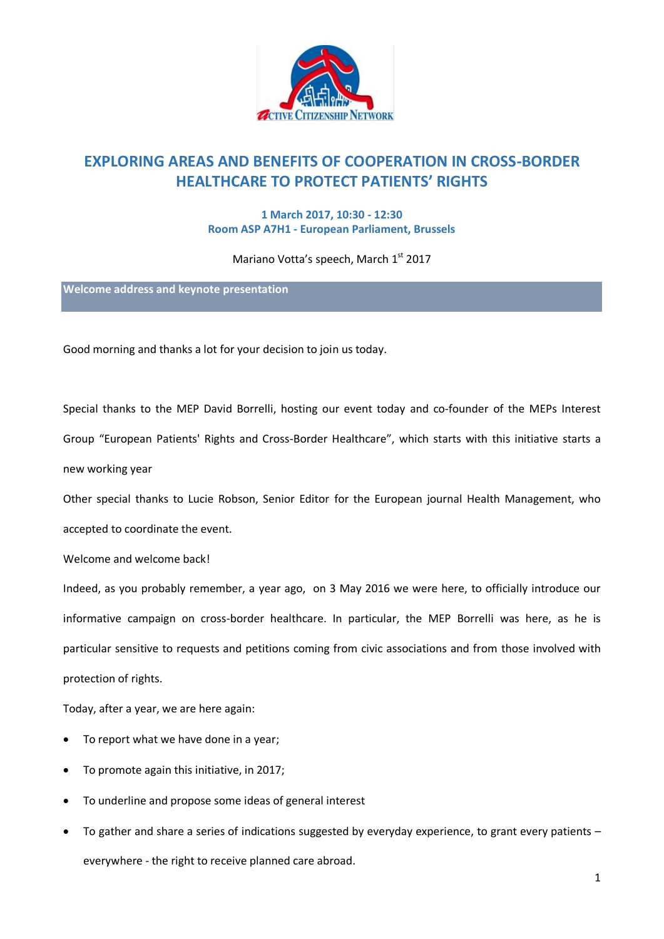

## **EXPLORING AREAS AND BENEFITS OF COOPERATION IN CROSS-BORDER HEALTHCARE TO PROTECT PATIENTS' RIGHTS**

## **1 March 2017, 10:30 - 12:30 Room ASP A7H1 - European Parliament, Brussels**

Mariano Votta's speech, March 1st 2017

**Welcome address and keynote presentation**

Good morning and thanks a lot for your decision to join us today.

Special thanks to the MEP David Borrelli, hosting our event today and co-founder of the MEPs Interest Group "European Patients' Rights and Cross-Border Healthcare", which starts with this initiative starts a new working year

Other special thanks to Lucie Robson, Senior Editor for the European journal Health Management, who accepted to coordinate the event.

Welcome and welcome back!

Indeed, as you probably remember, a year ago, on 3 May 2016 we were here, to officially introduce our informative campaign on cross-border healthcare. In particular, the MEP Borrelli was here, as he is particular sensitive to requests and petitions coming from civic associations and from those involved with protection of rights.

Today, after a year, we are here again:

- To report what we have done in a year;
- To promote again this initiative, in 2017;
- To underline and propose some ideas of general interest
- To gather and share a series of indications suggested by everyday experience, to grant every patients everywhere - the right to receive planned care abroad.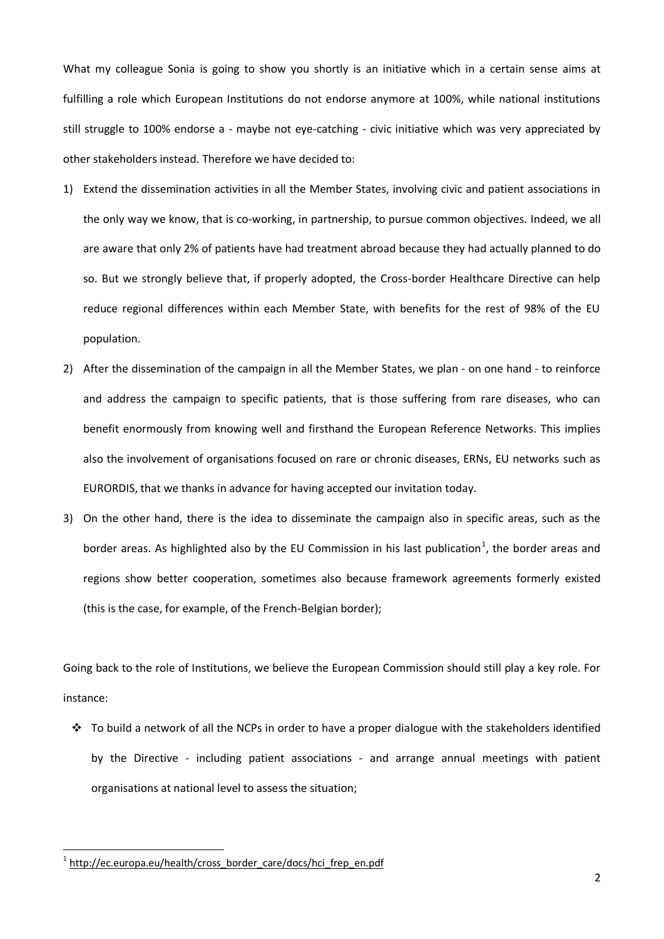What my colleague Sonia is going to show you shortly is an initiative which in a certain sense aims at fulfilling a role which European Institutions do not endorse anymore at 100%, while national institutions still struggle to 100% endorse a - maybe not eye-catching - civic initiative which was very appreciated by other stakeholders instead. Therefore we have decided to:

- 1) Extend the dissemination activities in all the Member States, involving civic and patient associations in the only way we know, that is co-working, in partnership, to pursue common objectives. Indeed, we all are aware that only 2% of patients have had treatment abroad because they had actually planned to do so. But we strongly believe that, if properly adopted, the Cross-border Healthcare Directive can help reduce regional differences within each Member State, with benefits for the rest of 98% of the EU population.
- 2) After the dissemination of the campaign in all the Member States, we plan on one hand to reinforce and address the campaign to specific patients, that is those suffering from rare diseases, who can benefit enormously from knowing well and firsthand the European Reference Networks. This implies also the involvement of organisations focused on rare or chronic diseases, ERNs, EU networks such as EURORDIS, that we thanks in advance for having accepted our invitation today.
- 3) On the other hand, there is the idea to disseminate the campaign also in specific areas, such as the border areas. As highlighted also by the EU Commission in his last publication<sup>1</sup>, the border areas and regions show better cooperation, sometimes also because framework agreements formerly existed (this is the case, for example, of the French-Belgian border);

Going back to the role of Institutions, we believe the European Commission should still play a key role. For instance:

 $\cdot \cdot$  To build a network of all the NCPs in order to have a proper dialogue with the stakeholders identified by the Directive - including patient associations - and arrange annual meetings with patient organisations at national level to assess the situation;

1

<sup>&</sup>lt;sup>1</sup> [http://ec.europa.eu/health/cross\\_border\\_care/docs/hci\\_frep\\_en.pdf](http://ec.europa.eu/health/cross_border_care/docs/hci_frep_en.pdf)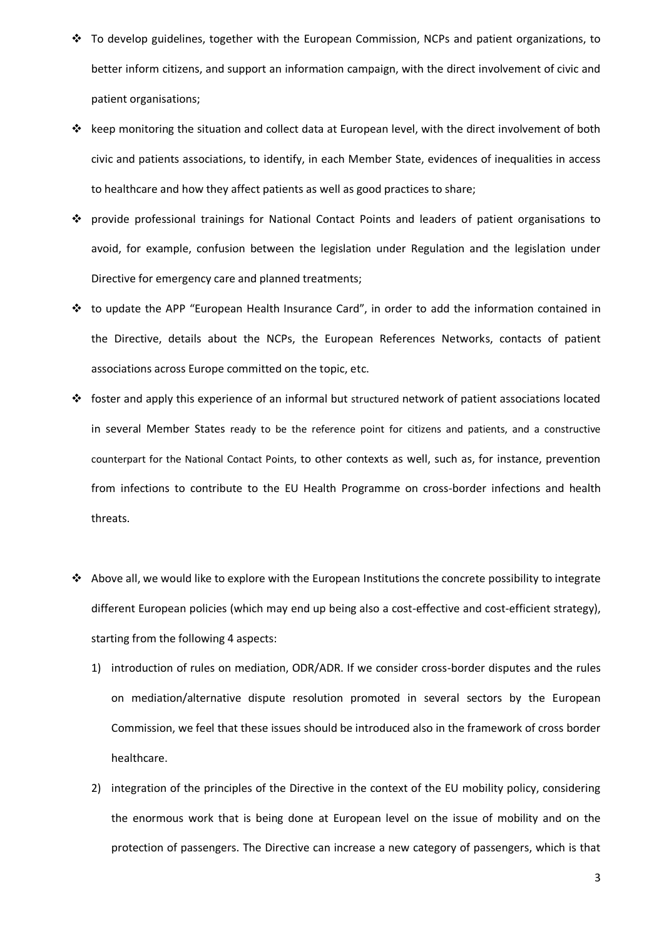- $\cdot \cdot$  To develop guidelines, together with the European Commission, NCPs and patient organizations, to better inform citizens, and support an information campaign, with the direct involvement of civic and patient organisations;
- $\div$  keep monitoring the situation and collect data at European level, with the direct involvement of both civic and patients associations, to identify, in each Member State, evidences of inequalities in access to healthcare and how they affect patients as well as good practices to share;
- provide professional trainings for National Contact Points and leaders of patient organisations to avoid, for example, confusion between the legislation under Regulation and the legislation under Directive for emergency care and planned treatments;
- $\cdot \cdot$  to update the APP "European Health Insurance Card", in order to add the information contained in the Directive, details about the NCPs, the European References Networks, contacts of patient associations across Europe committed on the topic, etc.
- $\div$  foster and apply this experience of an informal but structured network of patient associations located in several Member States ready to be the reference point for citizens and patients, and a constructive counterpart for the National Contact Points, to other contexts as well, such as, for instance, prevention from infections to contribute to the EU Health Programme on cross-border infections and health threats.
- Above all, we would like to explore with the European Institutions the concrete possibility to integrate different European policies (which may end up being also a cost-effective and cost-efficient strategy), starting from the following 4 aspects:
	- 1) introduction of rules on mediation, ODR/ADR. If we consider cross-border disputes and the rules on mediation/alternative dispute resolution promoted in several sectors by the European Commission, we feel that these issues should be introduced also in the framework of cross border healthcare.
	- 2) integration of the principles of the Directive in the context of the EU mobility policy, considering the enormous work that is being done at European level on the issue of mobility and on the protection of passengers. The Directive can increase a new category of passengers, which is that

3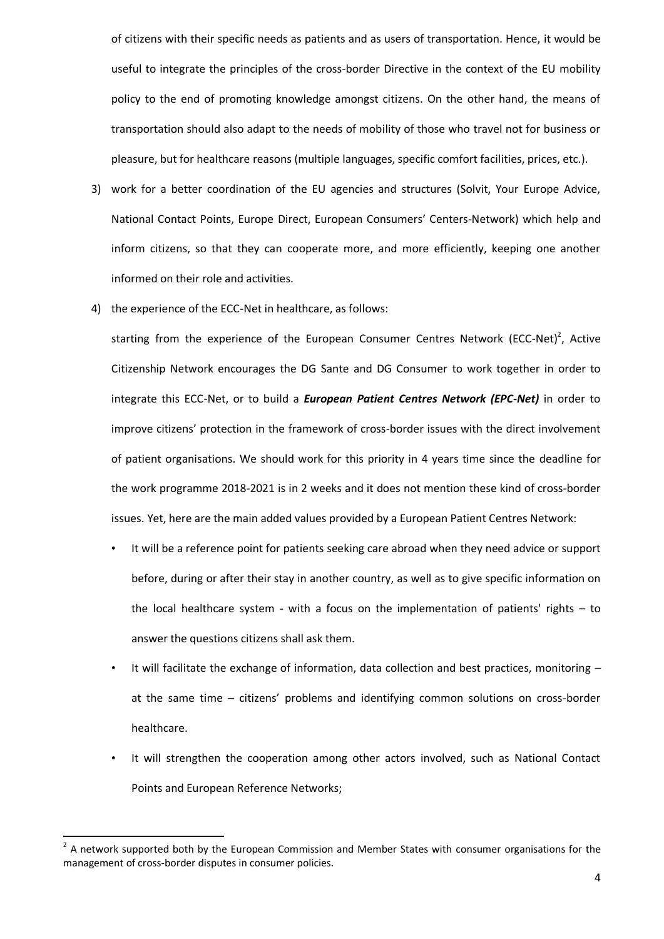of citizens with their specific needs as patients and as users of transportation. Hence, it would be useful to integrate the principles of the cross-border Directive in the context of the EU mobility policy to the end of promoting knowledge amongst citizens. On the other hand, the means of transportation should also adapt to the needs of mobility of those who travel not for business or pleasure, but for healthcare reasons (multiple languages, specific comfort facilities, prices, etc.).

- 3) work for a better coordination of the EU agencies and structures (Solvit, Your Europe Advice, National Contact Points, Europe Direct, European Consumers' Centers-Network) which help and inform citizens, so that they can cooperate more, and more efficiently, keeping one another informed on their role and activities.
- 4) the experience of the ECC-Net in healthcare, as follows:

starting from the experience of the European Consumer Centres Network (ECC-Net)<sup>2</sup>, Active Citizenship Network encourages the DG Sante and DG Consumer to work together in order to integrate this ECC-Net, or to build a *European Patient Centres Network (EPC-Net)* in order to improve citizens' protection in the framework of cross-border issues with the direct involvement of patient organisations. We should work for this priority in 4 years time since the deadline for the work programme 2018-2021 is in 2 weeks and it does not mention these kind of cross-border issues. Yet, here are the main added values provided by a European Patient Centres Network:

- It will be a reference point for patients seeking care abroad when they need advice or support before, during or after their stay in another country, as well as to give specific information on the local healthcare system - with a focus on the implementation of patients' rights – to answer the questions citizens shall ask them.
- It will facilitate the exchange of information, data collection and best practices, monitoring at the same time – citizens' problems and identifying common solutions on cross-border healthcare.
- It will strengthen the cooperation among other actors involved, such as National Contact Points and European Reference Networks;

-

 $2$  A network supported both by the European Commission and Member States with consumer organisations for the management of cross-border disputes in consumer policies.